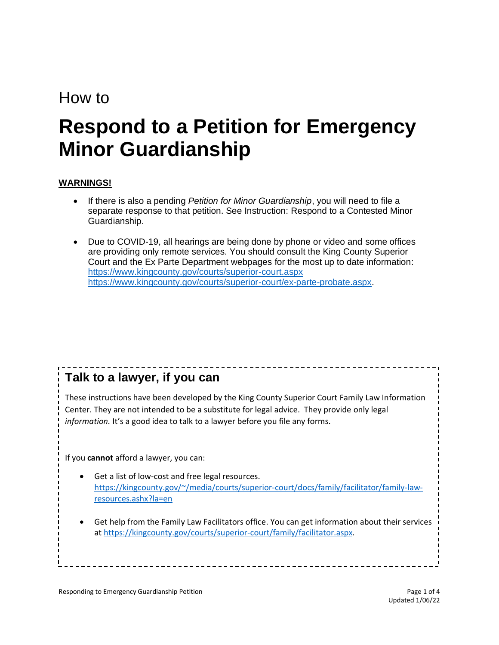## How to

# **Respond to a Petition for Emergency Minor Guardianship**

#### **WARNINGS!**

- If there is also a pending *Petition for Minor Guardianship*, you will need to file a separate response to that petition. See Instruction: Respond to a Contested Minor Guardianship.
- Due to COVID-19, all hearings are being done by phone or video and some offices are providing only remote services. You should consult the King County Superior Court and the Ex Parte Department webpages for the most up to date information: <https://www.kingcounty.gov/courts/superior-court.aspx> [https://www.kingcounty.gov/courts/superior-court/ex-parte-probate.aspx.](https://www.kingcounty.gov/courts/superior-court/ex-parte-probate.aspx)

## **Talk to a lawyer, if you can**

These instructions have been developed by the King County Superior Court Family Law Information Center. They are not intended to be a substitute for legal advice. They provide only legal *information.* It's a good idea to talk to a lawyer before you file any forms.

If you **cannot** afford a lawyer, you can:

- Get a list of low-cost and free legal resources. [https://kingcounty.gov/~/media/courts/superior-court/docs/family/facilitator/family-law](https://kingcounty.gov/~/media/courts/superior-court/docs/family/facilitator/family-law-resources.ashx?la=en)[resources.ashx?la=en](https://kingcounty.gov/~/media/courts/superior-court/docs/family/facilitator/family-law-resources.ashx?la=en)
- Get help from the Family Law Facilitators office. You can get information about their services at [https://kingcounty.gov/courts/superior-court/family/facilitator.aspx.](https://kingcounty.gov/courts/superior-court/family/facilitator.aspx)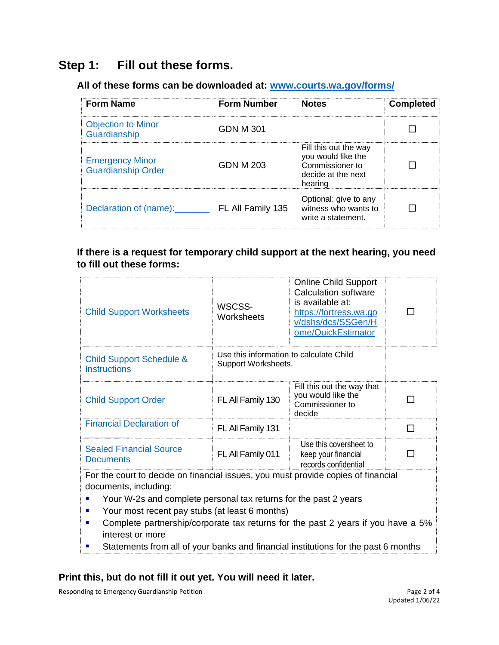## **Step 1: Fill out these forms.**

#### **All of these forms can be downloaded at: [www.courts.wa.gov/forms/](http://www.courts.wa.gov/forms/)**

| <b>Form Name</b>                                    | <b>Form Number</b> | <b>Notes</b>                                                                                    | <b>Completed</b> |
|-----------------------------------------------------|--------------------|-------------------------------------------------------------------------------------------------|------------------|
| <b>Objection to Minor</b><br>Guardianship           | GDN M 301          |                                                                                                 |                  |
| <b>Emergency Minor</b><br><b>Guardianship Order</b> | GDN M 203          | Fill this out the way<br>you would like the<br>Commissioner to<br>decide at the next<br>hearing |                  |
| Declaration of (name):                              | FL All Family 135  | Optional: give to any<br>witness who wants to<br>write a statement.                             |                  |

#### **If there is a request for temporary child support at the next hearing, you need to fill out these forms:**

| <b>Child Support Worksheets</b>                                                                                                                                                                                                       | WSCSS-<br>Worksheets                                           | <b>Online Child Support</b><br>Calculation software<br>is available at:<br>https://fortress.wa.go<br>v/dshs/dcs/SSGen/H<br>ome/QuickEstimator |   |  |  |
|---------------------------------------------------------------------------------------------------------------------------------------------------------------------------------------------------------------------------------------|----------------------------------------------------------------|-----------------------------------------------------------------------------------------------------------------------------------------------|---|--|--|
| <b>Child Support Schedule &amp;</b><br><b>Instructions</b>                                                                                                                                                                            | Use this information to calculate Child<br>Support Worksheets. |                                                                                                                                               |   |  |  |
| <b>Child Support Order</b>                                                                                                                                                                                                            | FL All Family 130                                              | Fill this out the way that<br>you would like the<br>Commissioner to<br>decide                                                                 |   |  |  |
| <b>Financial Declaration of</b>                                                                                                                                                                                                       | FL All Family 131                                              |                                                                                                                                               | П |  |  |
| <b>Sealed Financial Source</b><br><b>Documents</b>                                                                                                                                                                                    | FL All Family 011                                              | Use this coversheet to<br>keep your financial<br>records confidential                                                                         |   |  |  |
| For the court to decide on financial issues, you must provide copies of financial<br>documents, including:<br>Your W-2s and complete personal tax returns for the past 2 years<br>Your most recent pay stubs (at least 6 months)<br>٠ |                                                                |                                                                                                                                               |   |  |  |

- Complete partnership/corporate tax returns for the past 2 years if you have a 5% interest or more
- Statements from all of your banks and financial institutions for the past 6 months

#### **Print this, but do not fill it out yet. You will need it later.**

Responding to Emergency Guardianship Petition **Page 2 of 4** and 2 of 4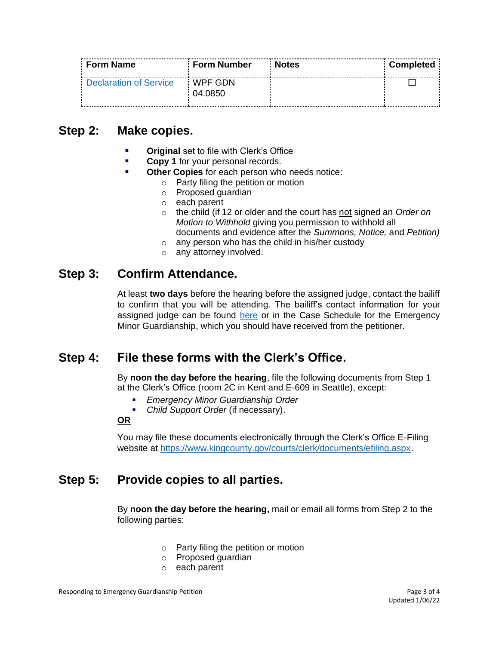| Form Name              | <b>Form Number</b> | : Notes | <b>Completed</b> |
|------------------------|--------------------|---------|------------------|
| Declaration of Service | WPF GDN<br>04.0850 |         |                  |

### **Step 2: Make copies.**

- **Original** set to file with Clerk's Office
- **Copy 1** for your personal records.
- **Other Copies** for each person who needs notice:
	- o Party filing the petition or motion
	- o Proposed guardian
	- o each parent
	- o the child (if 12 or older and the court has not signed an *Order on Motion to Withhold* giving you permission to withhold all documents and evidence after the *Summons, Notice,* and *Petition)*
	- o any person who has the child in his/her custody
	- o any attorney involved.

#### **Step 3: Confirm Attendance.**

At least **two days** before the hearing before the assigned judge, contact the bailiff to confirm that you will be attending. The bailiff's contact information for your assigned judge can be found [here](https://kingcounty.gov/courts/superior-court/directory/judges.aspx) or in the Case Schedule for the Emergency Minor Guardianship, which you should have received from the petitioner.

#### **Step 4: File these forms with the Clerk's Office.**

By **noon the day before the hearing**, file the following documents from Step 1 at the Clerk's Office (room 2C in Kent and E-609 in Seattle), except:

- *Emergency Minor Guardianship Order*
- *Child Support Order* (if necessary).

#### **OR**

You may file these documents electronically through the Clerk's Office E-Filing website at [https://www.kingcounty.gov/courts/clerk/documents/efiling.aspx.](https://www.kingcounty.gov/courts/clerk/documents/efiling.aspx)

## **Step 5: Provide copies to all parties.**

By **noon the day before the hearing,** mail or email all forms from Step 2 to the following parties:

- o Party filing the petition or motion
- o Proposed guardian
- o each parent